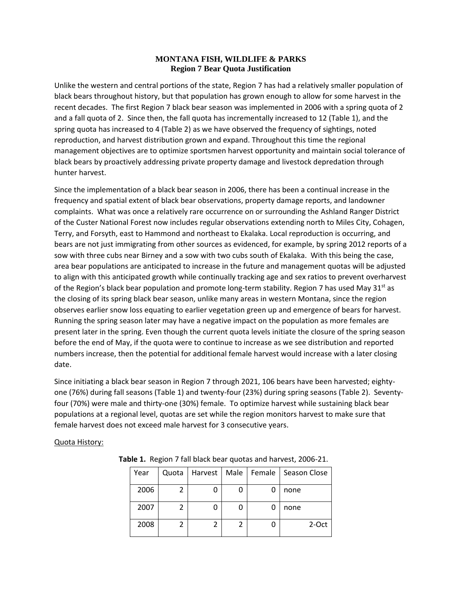## **MONTANA FISH, WILDLIFE & PARKS Region 7 Bear Quota Justification**

Unlike the western and central portions of the state, Region 7 has had a relatively smaller population of black bears throughout history, but that population has grown enough to allow for some harvest in the recent decades. The first Region 7 black bear season was implemented in 2006 with a spring quota of 2 and a fall quota of 2. Since then, the fall quota has incrementally increased to 12 (Table 1), and the spring quota has increased to 4 (Table 2) as we have observed the frequency of sightings, noted reproduction, and harvest distribution grown and expand. Throughout this time the regional management objectives are to optimize sportsmen harvest opportunity and maintain social tolerance of black bears by proactively addressing private property damage and livestock depredation through hunter harvest.

Since the implementation of a black bear season in 2006, there has been a continual increase in the frequency and spatial extent of black bear observations, property damage reports, and landowner complaints. What was once a relatively rare occurrence on or surrounding the Ashland Ranger District of the Custer National Forest now includes regular observations extending north to Miles City, Cohagen, Terry, and Forsyth, east to Hammond and northeast to Ekalaka. Local reproduction is occurring, and bears are not just immigrating from other sources as evidenced, for example, by spring 2012 reports of a sow with three cubs near Birney and a sow with two cubs south of Ekalaka. With this being the case, area bear populations are anticipated to increase in the future and management quotas will be adjusted to align with this anticipated growth while continually tracking age and sex ratios to prevent overharvest of the Region's black bear population and promote long-term stability. Region 7 has used May  $31^{st}$  as the closing of its spring black bear season, unlike many areas in western Montana, since the region observes earlier snow loss equating to earlier vegetation green up and emergence of bears for harvest. Running the spring season later may have a negative impact on the population as more females are present later in the spring. Even though the current quota levels initiate the closure of the spring season before the end of May, if the quota were to continue to increase as we see distribution and reported numbers increase, then the potential for additional female harvest would increase with a later closing date.

Since initiating a black bear season in Region 7 through 2021, 106 bears have been harvested; eightyone (76%) during fall seasons (Table 1) and twenty-four (23%) during spring seasons (Table 2). Seventyfour (70%) were male and thirty-one (30%) female. To optimize harvest while sustaining black bear populations at a regional level, quotas are set while the region monitors harvest to make sure that female harvest does not exceed male harvest for 3 consecutive years.

## Quota History:

| Year | Quota | Harvest | Male | Female   Season Close |
|------|-------|---------|------|-----------------------|
| 2006 |       |         | O    | none                  |
| 2007 |       |         | 0    | none                  |
| 2008 |       |         |      | 2-Oct                 |

**Table 1.** Region 7 fall black bear quotas and harvest, 2006-21.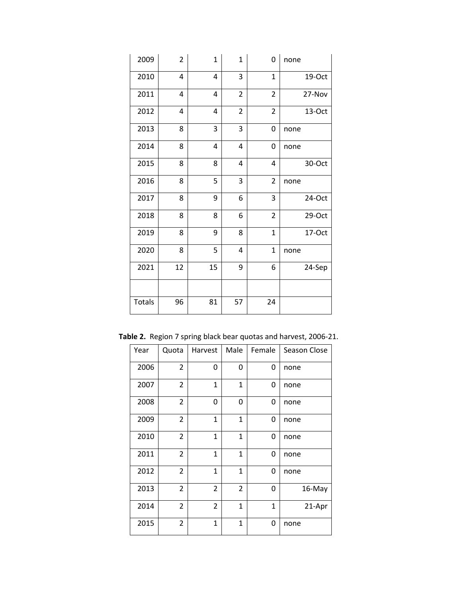| 2009          | $\overline{2}$ | $\mathbf 1$ | $\mathbf 1$    | 0              | none   |
|---------------|----------------|-------------|----------------|----------------|--------|
| 2010          | 4              | 4           | 3              | $\mathbf{1}$   | 19-Oct |
| 2011          | 4              | 4           | $\overline{2}$ | $\overline{2}$ | 27-Nov |
| 2012          | 4              | 4           | $\overline{2}$ | $\overline{2}$ | 13-Oct |
| 2013          | 8              | 3           | 3              | 0              | none   |
| 2014          | 8              | 4           | 4              | 0              | none   |
| 2015          | 8              | 8           | 4              | 4              | 30-Oct |
| 2016          | 8              | 5           | 3              | $\overline{2}$ | none   |
| 2017          | 8              | 9           | 6              | 3              | 24-Oct |
| 2018          | 8              | 8           | 6              | $\overline{2}$ | 29-Oct |
| 2019          | 8              | 9           | 8              | $\overline{1}$ | 17-Oct |
| 2020          | 8              | 5           | 4              | $\overline{1}$ | none   |
| 2021          | 12             | 15          | 9              | 6              | 24-Sep |
|               |                |             |                |                |        |
| <b>Totals</b> | 96             | 81          | 57             | 24             |        |

**Table 2.** Region 7 spring black bear quotas and harvest, 2006-21.

| Year | Quota          | Harvest        | Male           | Female       | Season Close                   |  |
|------|----------------|----------------|----------------|--------------|--------------------------------|--|
| 2006 | $\overline{2}$ | 0              | 0              | 0            | none                           |  |
| 2007 | $\overline{2}$ | $\mathbf{1}$   | $\mathbf{1}$   | 0            | none                           |  |
| 2008 | $\overline{2}$ | 0              | 0              | 0            | none                           |  |
| 2009 | $\overline{2}$ | 1              | 1              | 0            | none                           |  |
| 2010 | $\overline{2}$ | $\mathbf{1}$   | $\mathbf{1}$   | 0            | none<br>none<br>none<br>16-May |  |
| 2011 | $\overline{2}$ | 1              | $\mathbf{1}$   | 0            |                                |  |
| 2012 | $\overline{2}$ | $\overline{1}$ | 1              | 0            |                                |  |
| 2013 | $\overline{2}$ | $\overline{2}$ | $\overline{2}$ | 0            |                                |  |
| 2014 | $\overline{2}$ | $\overline{2}$ | $\mathbf{1}$   | $\mathbf{1}$ | 21-Apr                         |  |
| 2015 | $\overline{2}$ | 1              | $\mathbf{1}$   | 0            | none                           |  |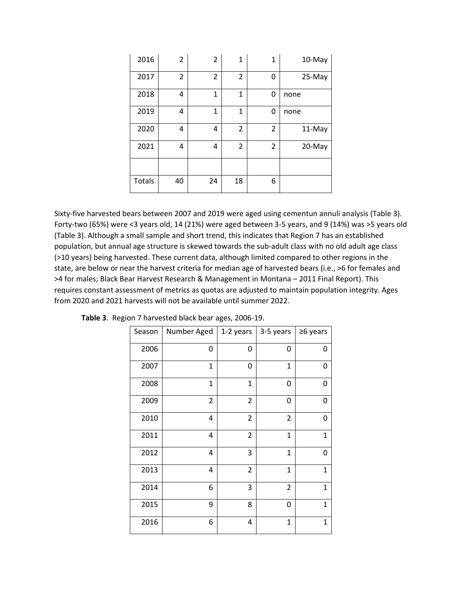| 2016   | 2              | $\overline{2}$ | $\mathbf 1$    | $\mathbf{1}$   | 10-May |
|--------|----------------|----------------|----------------|----------------|--------|
| 2017   | $\overline{2}$ | $\overline{2}$ | 2              | 0              | 25-May |
| 2018   | 4              | 1              | 1              | 0              | none   |
| 2019   | 4              | 1              | 1              | 0              | none   |
| 2020   | 4              | 4              | $\overline{2}$ | $\overline{2}$ | 11-May |
| 2021   | 4              | 4              | 2              | 2              | 20-May |
|        |                |                |                |                |        |
| Totals | 40             | 24             | 18             | 6              |        |

Sixty-five harvested bears between 2007 and 2019 were aged using cementun annuli analysis (Table 3). Forty-two (65%) were <3 years old, 14 (21%) were aged between 3-5 years, and 9 (14%) was >5 years old (Table 3). Although a small sample and short trend, this indicates that Region 7 has an established population, but annual age structure is skewed towards the sub-adult class with no old adult age class (>10 years) being harvested. These current data, although limited compared to other regions in the state, are below or near the harvest criteria for median age of harvested bears (i.e., >6 for females and >4 for males; Black Bear Harvest Research & Management in Montana – 2011 Final Report). This requires constant assessment of metrics as quotas are adjusted to maintain population integrity. Ages from 2020 and 2021 harvests will not be available until summer 2022.

| Season | Number Aged    | 1-2 years               | 3-5 years      | ≥6 years     |
|--------|----------------|-------------------------|----------------|--------------|
| 2006   | 0              | 0                       | 0              | 0            |
| 2007   | 1              | 0                       | $\mathbf{1}$   | 0            |
| 2008   | 1              | $\mathbf{1}$            | 0              | 0            |
| 2009   | $\overline{2}$ | $\overline{2}$          | 0              | 0            |
| 2010   | 4              | $\overline{2}$          | $\overline{2}$ | 0            |
| 2011   | 4              | $\overline{\mathbf{c}}$ | $\mathbf{1}$   | $\mathbf{1}$ |
| 2012   | 4              | 3                       | $\mathbf{1}$   | 0            |
| 2013   | 4              | $\overline{2}$          | $\mathbf{1}$   | $\mathbf{1}$ |
| 2014   | 6              | 3                       | $\overline{2}$ | $\mathbf{1}$ |
| 2015   | 9              | 8                       | 0              | 1            |
| 2016   | 6              | 4                       | $\overline{1}$ | 1            |

**Table 3**. Region 7 harvested black bear ages, 2006-19.